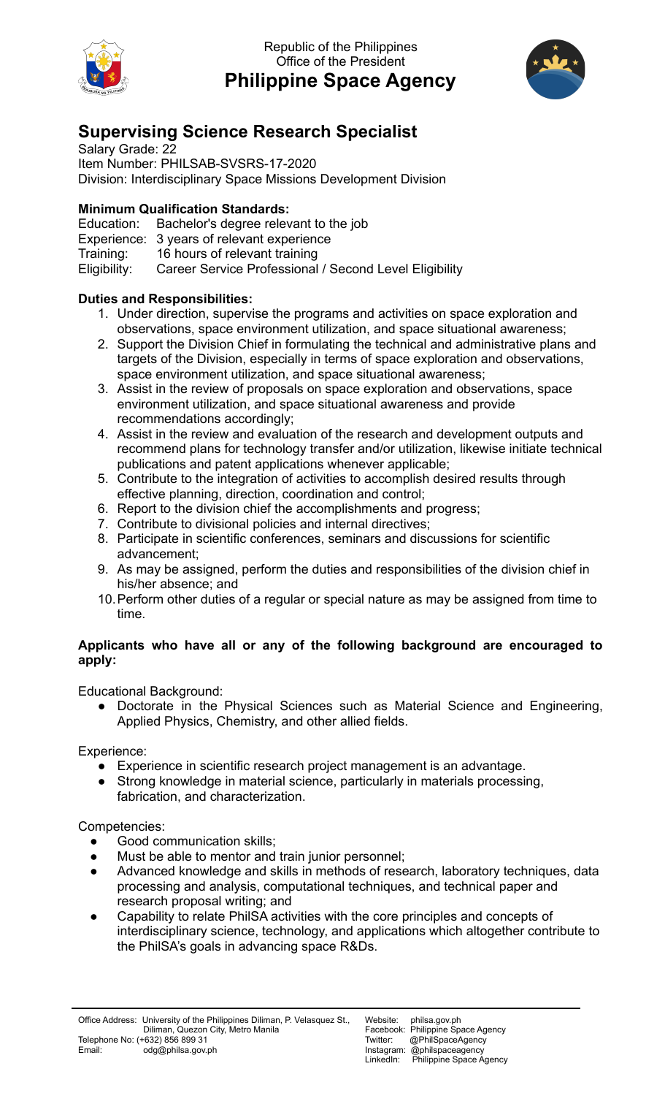

Republic of the Philippines Office of the President **Philippine Space Agency**



## **Supervising Science Research Specialist**

Salary Grade: 22 Item Number: PHILSAB-SVSRS-17-2020 Division: Interdisciplinary Space Missions Development Division

## **Minimum Qualification Standards:**

Education: Bachelor's degree relevant to the job Experience: 3 years of relevant experience Training: 16 hours of relevant training Eligibility: Career Service Professional / Second Level Eligibility

## **Duties and Responsibilities:**

- 1. Under direction, supervise the programs and activities on space exploration and observations, space environment utilization, and space situational awareness;
- 2. Support the Division Chief in formulating the technical and administrative plans and targets of the Division, especially in terms of space exploration and observations, space environment utilization, and space situational awareness;
- 3. Assist in the review of proposals on space exploration and observations, space environment utilization, and space situational awareness and provide recommendations accordingly;
- 4. Assist in the review and evaluation of the research and development outputs and recommend plans for technology transfer and/or utilization, likewise initiate technical publications and patent applications whenever applicable;
- 5. Contribute to the integration of activities to accomplish desired results through effective planning, direction, coordination and control;
- 6. Report to the division chief the accomplishments and progress;
- 7. Contribute to divisional policies and internal directives;
- 8. Participate in scientific conferences, seminars and discussions for scientific advancement;
- 9. As may be assigned, perform the duties and responsibilities of the division chief in his/her absence; and
- 10.Perform other duties of a regular or special nature as may be assigned from time to time.

## **Applicants who have all or any of the following background are encouraged to apply:**

Educational Background:

● Doctorate in the Physical Sciences such as Material Science and Engineering, Applied Physics, Chemistry, and other allied fields.

Experience:

- Experience in scientific research project management is an advantage.
- Strong knowledge in material science, particularly in materials processing, fabrication, and characterization.

Competencies:

- **●** Good communication skills;
- Must be able to mentor and train junior personnel;
- Advanced knowledge and skills in methods of research, laboratory techniques, data processing and analysis, computational techniques, and technical paper and research proposal writing; and
- Capability to relate PhilSA activities with the core principles and concepts of interdisciplinary science, technology, and applications which altogether contribute to the PhilSA's goals in advancing space R&Ds.